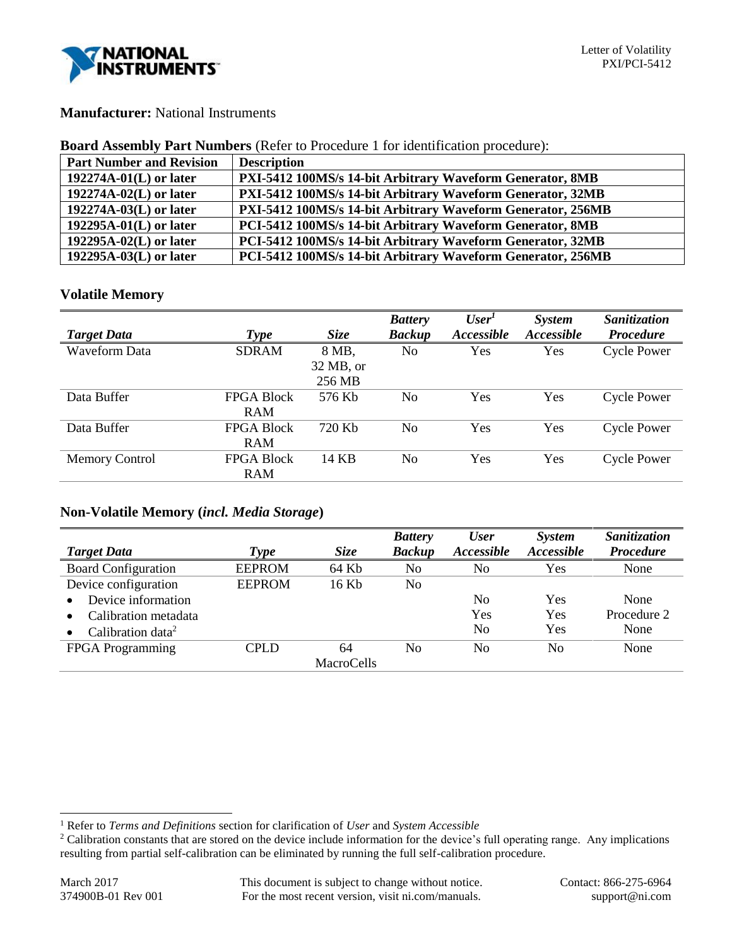

## **Manufacturer:** National Instruments

### **Board Assembly Part Numbers** (Refer to Procedure 1 for identification procedure):

| <b>Part Number and Revision</b> | <b>Description</b>                                          |
|---------------------------------|-------------------------------------------------------------|
| $192274A-01(L)$ or later        | PXI-5412 100MS/s 14-bit Arbitrary Waveform Generator, 8MB   |
| $192274A-02(L)$ or later        | PXI-5412 100MS/s 14-bit Arbitrary Waveform Generator, 32MB  |
| 192274A-03(L) or later          | PXI-5412 100MS/s 14-bit Arbitrary Waveform Generator, 256MB |
| $192295A-01(L)$ or later        | PCI-5412 100MS/s 14-bit Arbitrary Waveform Generator, 8MB   |
| $192295A-02(L)$ or later        | PCI-5412 100MS/s 14-bit Arbitrary Waveform Generator, 32MB  |
| $192295A-03(L)$ or later        | PCI-5412 100MS/s 14-bit Arbitrary Waveform Generator, 256MB |

### **Volatile Memory**

|                       |                   |             | <b>Battery</b> | User <sup>1</sup> | <b>System</b> | Sanitization       |
|-----------------------|-------------------|-------------|----------------|-------------------|---------------|--------------------|
| <b>Target Data</b>    | <b>Type</b>       | <b>Size</b> | <b>Backup</b>  | Accessible        | Accessible    | <b>Procedure</b>   |
| Waveform Data         | <b>SDRAM</b>      | 8 MB,       | No             | Yes               | Yes           | <b>Cycle Power</b> |
|                       |                   | $32$ MB, or |                |                   |               |                    |
|                       |                   | 256 MB      |                |                   |               |                    |
| Data Buffer           | <b>FPGA Block</b> | 576 Kb      | No             | <b>Yes</b>        | Yes           | <b>Cycle Power</b> |
|                       | <b>RAM</b>        |             |                |                   |               |                    |
| Data Buffer           | <b>FPGA Block</b> | 720 Kb      | N <sub>0</sub> | Yes               | Yes           | <b>Cycle Power</b> |
|                       | <b>RAM</b>        |             |                |                   |               |                    |
| <b>Memory Control</b> | <b>FPGA Block</b> | 14 KB       | N <sub>0</sub> | Yes               | Yes           | <b>Cycle Power</b> |
|                       | RAM               |             |                |                   |               |                    |

# **Non-Volatile Memory (***incl. Media Storage***)**

|                               |               |                   | <b>Battery</b> | <b>User</b>    | <i>System</i> | Sanitization     |
|-------------------------------|---------------|-------------------|----------------|----------------|---------------|------------------|
| <b>Target Data</b>            | Type          | <b>Size</b>       | <b>Backup</b>  | Accessible     | Accessible    | <b>Procedure</b> |
| <b>Board Configuration</b>    | <b>EEPROM</b> | 64 Kb             | No             | No             | Yes           | None             |
| Device configuration          | <b>EEPROM</b> | 16 Kb             | No             |                |               |                  |
| Device information            |               |                   |                | N <sub>0</sub> | Yes           | None             |
| Calibration metadata          |               |                   |                | Yes            | Yes           | Procedure 2      |
| Calibration data <sup>2</sup> |               |                   |                | No             | Yes           | None             |
| <b>FPGA</b> Programming       | <b>CPLD</b>   | 64                | N <sub>0</sub> | No             | No            | None             |
|                               |               | <b>MacroCells</b> |                |                |               |                  |

l

<sup>1</sup> Refer to *Terms and Definitions* section for clarification of *User* and *System Accessible*

<sup>&</sup>lt;sup>2</sup> Calibration constants that are stored on the device include information for the device's full operating range. Any implications resulting from partial self-calibration can be eliminated by running the full self-calibration procedure.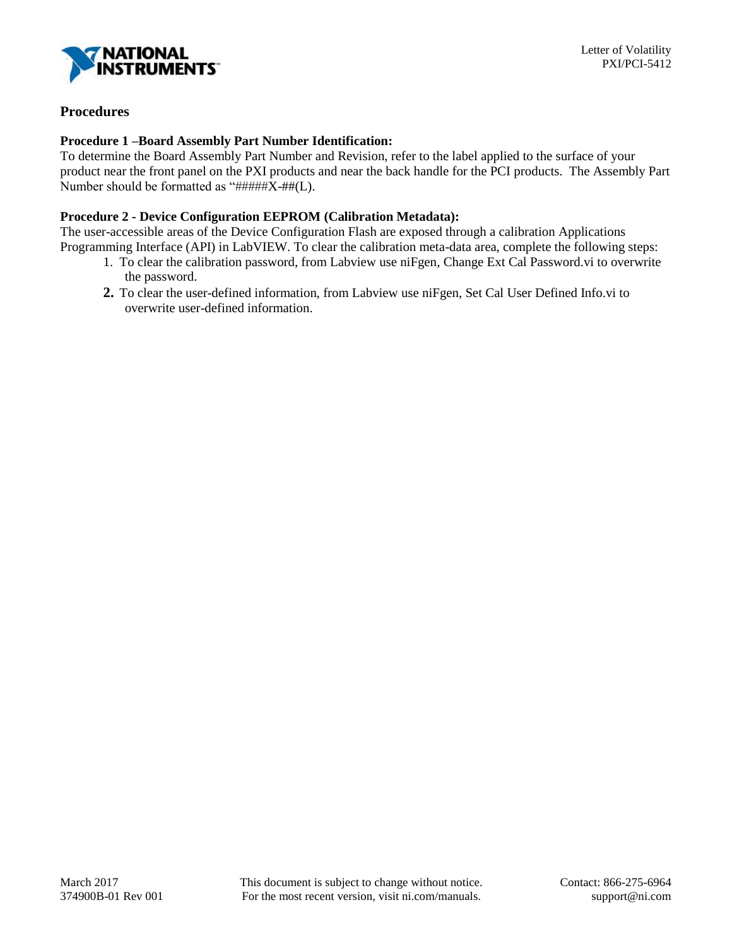

# **Procedures**

### **Procedure 1 –Board Assembly Part Number Identification:**

To determine the Board Assembly Part Number and Revision, refer to the label applied to the surface of your product near the front panel on the PXI products and near the back handle for the PCI products. The Assembly Part Number should be formatted as  $\sqrt[4]{\text{HHHH}X + \text{HH}}$ (L).

# **Procedure 2 - Device Configuration EEPROM (Calibration Metadata):**

The user-accessible areas of the Device Configuration Flash are exposed through a calibration Applications Programming Interface (API) in LabVIEW. To clear the calibration meta-data area, complete the following steps:

- 1. To clear the calibration password, from Labview use niFgen, Change Ext Cal Password.vi to overwrite the password.
- **2.** To clear the user-defined information, from Labview use niFgen, Set Cal User Defined Info.vi to overwrite user-defined information.